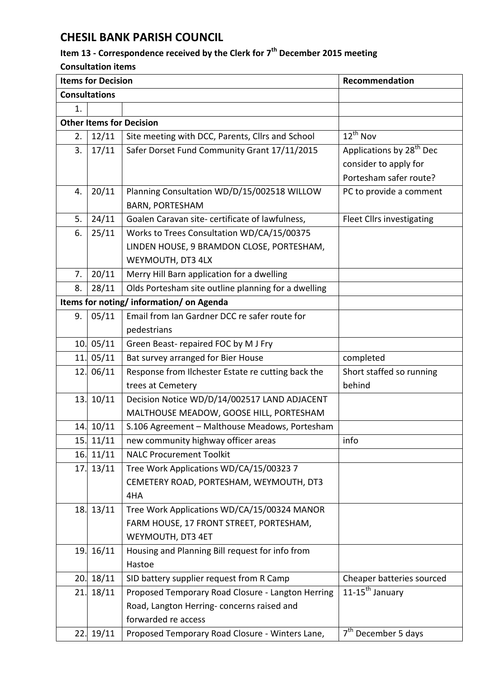## **CHESIL BANK PARISH COUNCIL**

## **Item 13 - Correspondence received by the Clerk for 7 th December 2015 meeting**

**Consultation items**

| <b>Items for Decision</b>       |           |                                                     | Recommendation                       |  |  |
|---------------------------------|-----------|-----------------------------------------------------|--------------------------------------|--|--|
| <b>Consultations</b>            |           |                                                     |                                      |  |  |
| 1.                              |           |                                                     |                                      |  |  |
| <b>Other Items for Decision</b> |           |                                                     |                                      |  |  |
| 2.                              | 12/11     | Site meeting with DCC, Parents, Cllrs and School    | $12^{th}$ Nov                        |  |  |
| 3.                              | 17/11     | Safer Dorset Fund Community Grant 17/11/2015        | Applications by 28 <sup>th</sup> Dec |  |  |
|                                 |           |                                                     | consider to apply for                |  |  |
|                                 |           |                                                     | Portesham safer route?               |  |  |
| 4.                              | 20/11     | Planning Consultation WD/D/15/002518 WILLOW         | PC to provide a comment              |  |  |
|                                 |           | <b>BARN, PORTESHAM</b>                              |                                      |  |  |
| 5.                              | 24/11     | Goalen Caravan site- certificate of lawfulness,     | Fleet Cllrs investigating            |  |  |
| 6.                              | 25/11     | Works to Trees Consultation WD/CA/15/00375          |                                      |  |  |
|                                 |           | LINDEN HOUSE, 9 BRAMDON CLOSE, PORTESHAM,           |                                      |  |  |
|                                 |           | WEYMOUTH, DT3 4LX                                   |                                      |  |  |
| 7.                              | 20/11     | Merry Hill Barn application for a dwelling          |                                      |  |  |
| 8.                              | 28/11     | Olds Portesham site outline planning for a dwelling |                                      |  |  |
|                                 |           | Items for noting/information/on Agenda              |                                      |  |  |
| 9.                              | 05/11     | Email from Ian Gardner DCC re safer route for       |                                      |  |  |
|                                 |           | pedestrians                                         |                                      |  |  |
|                                 | 10.05/11  | Green Beast-repaired FOC by M J Fry                 |                                      |  |  |
| 11.                             | 05/11     | Bat survey arranged for Bier House                  | completed                            |  |  |
|                                 | 12. 06/11 | Response from Ilchester Estate re cutting back the  | Short staffed so running             |  |  |
|                                 |           | trees at Cemetery                                   | behind                               |  |  |
| 13.                             | 10/11     | Decision Notice WD/D/14/002517 LAND ADJACENT        |                                      |  |  |
|                                 |           | MALTHOUSE MEADOW, GOOSE HILL, PORTESHAM             |                                      |  |  |
| 14.                             | 10/11     | S.106 Agreement - Malthouse Meadows, Portesham      |                                      |  |  |
| 15.                             | 11/11     | new community highway officer areas                 | info                                 |  |  |
| 16.                             | 11/11     | <b>NALC Procurement Toolkit</b>                     |                                      |  |  |
| 17.                             | 13/11     | Tree Work Applications WD/CA/15/00323 7             |                                      |  |  |
|                                 |           | CEMETERY ROAD, PORTESHAM, WEYMOUTH, DT3             |                                      |  |  |
|                                 |           | 4HA                                                 |                                      |  |  |
|                                 | 18.13/11  | Tree Work Applications WD/CA/15/00324 MANOR         |                                      |  |  |
|                                 |           | FARM HOUSE, 17 FRONT STREET, PORTESHAM,             |                                      |  |  |
|                                 |           | WEYMOUTH, DT3 4ET                                   |                                      |  |  |
|                                 | 19. 16/11 | Housing and Planning Bill request for info from     |                                      |  |  |
|                                 |           | Hastoe                                              |                                      |  |  |
| 20.                             | 18/11     | SID battery supplier request from R Camp            | Cheaper batteries sourced            |  |  |
| 21.                             | 18/11     | Proposed Temporary Road Closure - Langton Herring   | $11-15^{th}$ January                 |  |  |
|                                 |           | Road, Langton Herring-concerns raised and           |                                      |  |  |
|                                 |           | forwarded re access                                 |                                      |  |  |
| 22.                             | 19/11     | Proposed Temporary Road Closure - Winters Lane,     | 7 <sup>th</sup> December 5 days      |  |  |